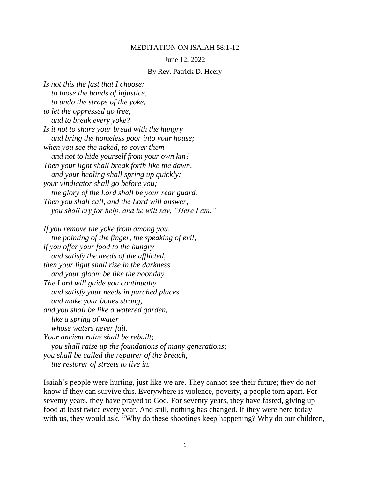## MEDITATION ON ISAIAH 58:1-12

## June 12, 2022

## By Rev. Patrick D. Heery

*Is not this the fast that I choose: to loose the bonds of injustice, to undo the straps of the yoke, to let the oppressed go free, and to break every yoke? Is it not to share your bread with the hungry and bring the homeless poor into your house; when you see the naked, to cover them and not to hide yourself from your own kin? Then your light shall break forth like the dawn, and your healing shall spring up quickly; your vindicator shall go before you; the glory of the Lord shall be your rear guard. Then you shall call, and the Lord will answer; you shall cry for help, and he will say, "Here I am."*

*If you remove the yoke from among you, the pointing of the finger, the speaking of evil, if you offer your food to the hungry and satisfy the needs of the afflicted, then your light shall rise in the darkness and your gloom be like the noonday. The Lord will guide you continually and satisfy your needs in parched places and make your bones strong, and you shall be like a watered garden, like a spring of water whose waters never fail. Your ancient ruins shall be rebuilt; you shall raise up the foundations of many generations; you shall be called the repairer of the breach, the restorer of streets to live in.*

Isaiah's people were hurting, just like we are. They cannot see their future; they do not know if they can survive this. Everywhere is violence, poverty, a people torn apart. For seventy years, they have prayed to God. For seventy years, they have fasted, giving up food at least twice every year. And still, nothing has changed. If they were here today with us, they would ask, "Why do these shootings keep happening? Why do our children,